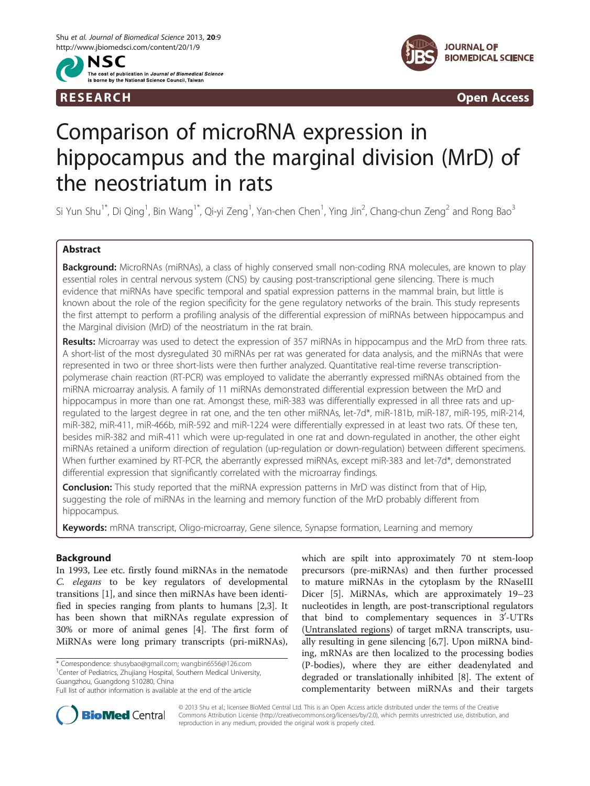



R E S EAR CH Open Access

# Comparison of microRNA expression in hippocampus and the marginal division (MrD) of the neostriatum in rats

Si Yun Shu $^*$ , Di Qing $^1$ , Bin Wang $^*$ , Qi-yi Zeng $^1$ , Yan-chen Chen $^1$ , Ying Jin $^2$ , Chang-chun Zeng $^2$  and Rong Bao $^3$ 

# Abstract

Background: MicroRNAs (miRNAs), a class of highly conserved small non-coding RNA molecules, are known to play essential roles in central nervous system (CNS) by causing post-transcriptional gene silencing. There is much evidence that miRNAs have specific temporal and spatial expression patterns in the mammal brain, but little is known about the role of the region specificity for the gene regulatory networks of the brain. This study represents the first attempt to perform a profiling analysis of the differential expression of miRNAs between hippocampus and the Marginal division (MrD) of the neostriatum in the rat brain.

Results: Microarray was used to detect the expression of 357 miRNAs in hippocampus and the MrD from three rats. A short-list of the most dysregulated 30 miRNAs per rat was generated for data analysis, and the miRNAs that were represented in two or three short-lists were then further analyzed. Quantitative real-time reverse transcriptionpolymerase chain reaction (RT-PCR) was employed to validate the aberrantly expressed miRNAs obtained from the miRNA microarray analysis. A family of 11 miRNAs demonstrated differential expression between the MrD and hippocampus in more than one rat. Amongst these, miR-383 was differentially expressed in all three rats and upregulated to the largest degree in rat one, and the ten other miRNAs, let-7d\*, miR-181b, miR-187, miR-195, miR-214, miR-382, miR-411, miR-466b, miR-592 and miR-1224 were differentially expressed in at least two rats. Of these ten, besides miR-382 and miR-411 which were up-regulated in one rat and down-regulated in another, the other eight miRNAs retained a uniform direction of regulation (up-regulation or down-regulation) between different specimens. When further examined by RT-PCR, the aberrantly expressed miRNAs, except miR-383 and let-7d\*, demonstrated differential expression that significantly correlated with the microarray findings.

**Conclusion:** This study reported that the miRNA expression patterns in MrD was distinct from that of Hip, suggesting the role of miRNAs in the learning and memory function of the MrD probably different from hippocampus.

Keywords: mRNA transcript, Oligo-microarray, Gene silence, Synapse formation, Learning and memory

# Background

In 1993, Lee etc. firstly found miRNAs in the nematode C. elegans to be key regulators of developmental transitions [[1\]](#page-6-0), and since then miRNAs have been identified in species ranging from plants to humans [\[2](#page-6-0),[3](#page-6-0)]. It has been shown that miRNAs regulate expression of 30% or more of animal genes [\[4](#page-6-0)]. The first form of MiRNAs were long primary transcripts (pri-miRNAs),

\* Correspondence: [shusybao@gmail.com](mailto:shusybao@gmail.com); [wangbin6556@126.com](mailto:wangbin6556@126.com) <sup>1</sup> <sup>1</sup> Center of Pediatrics, Zhujiang Hospital, Southern Medical University, Guangzhou, Guangdong 510280, China

which are spilt into approximately 70 nt stem-loop precursors (pre-miRNAs) and then further processed to mature miRNAs in the cytoplasm by the RNaseIII Dicer [[5\]](#page-6-0). MiRNAs, which are approximately 19–23 nucleotides in length, are post-transcriptional regulators that bind to complementary sequences in  $3'-UTRs$ (Untranslated regions) of target mRNA transcripts, usually resulting in gene silencing [[6,7\]](#page-6-0). Upon miRNA binding, mRNAs are then localized to the processing bodies (P-bodies), where they are either deadenylated and degraded or translationally inhibited [[8](#page-6-0)]. The extent of complementarity between miRNAs and their targets



© 2013 Shu et al.; licensee BioMed Central Ltd. This is an Open Access article distributed under the terms of the Creative Commons Attribution License [\(http://creativecommons.org/licenses/by/2.0\)](http://creativecommons.org/licenses/by/2.0), which permits unrestricted use, distribution, and reproduction in any medium, provided the original work is properly cited.

Full list of author information is available at the end of the article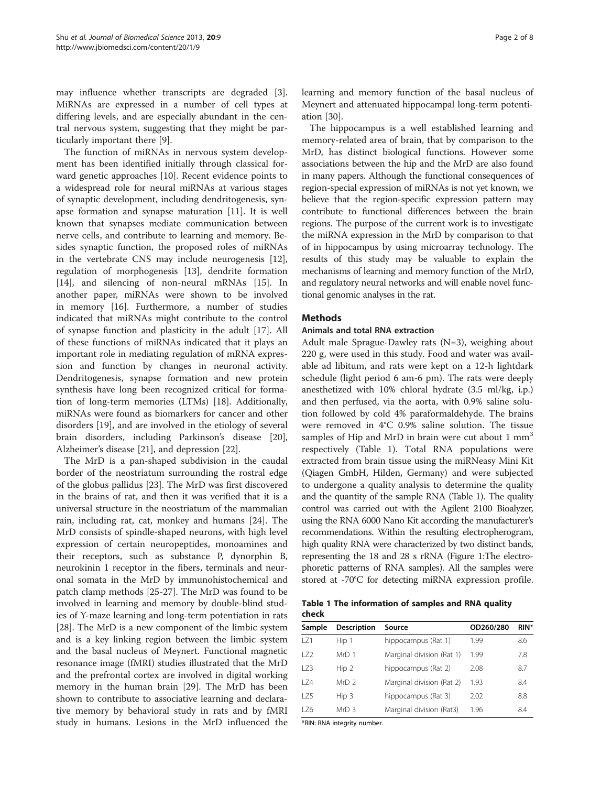may influence whether transcripts are degraded [\[3](#page-6-0)]. MiRNAs are expressed in a number of cell types at differing levels, and are especially abundant in the central nervous system, suggesting that they might be particularly important there [[9](#page-6-0)].

The function of miRNAs in nervous system development has been identified initially through classical forward genetic approaches [\[10\]](#page-6-0). Recent evidence points to a widespread role for neural miRNAs at various stages of synaptic development, including dendritogenesis, synapse formation and synapse maturation [[11](#page-6-0)]. It is well known that synapses mediate communication between nerve cells, and contribute to learning and memory. Besides synaptic function, the proposed roles of miRNAs in the vertebrate CNS may include neurogenesis [\[12](#page-6-0)], regulation of morphogenesis [[13\]](#page-6-0), dendrite formation [[14\]](#page-6-0), and silencing of non-neural mRNAs [\[15](#page-6-0)]. In another paper, miRNAs were shown to be involved in memory [\[16\]](#page-6-0). Furthermore, a number of studies indicated that miRNAs might contribute to the control of synapse function and plasticity in the adult [\[17](#page-6-0)]. All of these functions of miRNAs indicated that it plays an important role in mediating regulation of mRNA expression and function by changes in neuronal activity. Dendritogenesis, synapse formation and new protein synthesis have long been recognized critical for formation of long-term memories (LTMs) [[18](#page-6-0)]. Additionally, miRNAs were found as biomarkers for cancer and other disorders [\[19](#page-6-0)], and are involved in the etiology of several brain disorders, including Parkinson's disease [\[20](#page-6-0)], Alzheimer's disease [[21\]](#page-6-0), and depression [[22\]](#page-6-0).

The MrD is a pan-shaped subdivision in the caudal border of the neostriatum surrounding the rostral edge of the globus pallidus [\[23](#page-6-0)]. The MrD was first discovered in the brains of rat, and then it was verified that it is a universal structure in the neostriatum of the mammalian rain, including rat, cat, monkey and humans [[24\]](#page-6-0). The MrD consists of spindle-shaped neurons, with high level expression of certain neuropeptides, monoamines and their receptors, such as substance P, dynorphin B, neurokinin 1 receptor in the fibers, terminals and neuronal somata in the MrD by immunohistochemical and patch clamp methods [\[25-27](#page-6-0)]. The MrD was found to be involved in learning and memory by double-blind studies of Y-maze learning and long-term potentiation in rats [[28\]](#page-6-0). The MrD is a new component of the limbic system and is a key linking region between the limbic system and the basal nucleus of Meynert. Functional magnetic resonance image (fMRI) studies illustrated that the MrD and the prefrontal cortex are involved in digital working memory in the human brain [[29\]](#page-6-0). The MrD has been shown to contribute to associative learning and declarative memory by behavioral study in rats and by fMRI study in humans. Lesions in the MrD influenced the learning and memory function of the basal nucleus of Meynert and attenuated hippocampal long-term potentiation [\[30](#page-6-0)].

The hippocampus is a well established learning and memory-related area of brain, that by comparison to the MrD, has distinct biological functions. However some associations between the hip and the MrD are also found in many papers. Although the functional consequences of region-special expression of miRNAs is not yet known, we believe that the region-specific expression pattern may contribute to functional differences between the brain regions. The purpose of the current work is to investigate the miRNA expression in the MrD by comparison to that of in hippocampus by using microarray technology. The results of this study may be valuable to explain the mechanisms of learning and memory function of the MrD, and regulatory neural networks and will enable novel functional genomic analyses in the rat.

# **Mathods**

## Animals and total RNA extraction

Adult male Sprague-Dawley rats (N=3), weighing about 220 g, were used in this study. Food and water was available ad libitum, and rats were kept on a 12-h lightdark schedule (light period 6 am-6 pm). The rats were deeply anesthetized with 10% chloral hydrate (3.5 ml/kg, i.p.) and then perfused, via the aorta, with 0.9% saline solution followed by cold 4% paraformaldehyde. The brains were removed in 4°C 0.9% saline solution. The tissue samples of Hip and MrD in brain were cut about  $1 \text{ mm}^3$ respectively (Table 1). Total RNA populations were extracted from brain tissue using the miRNeasy Mini Kit (Qiagen GmbH, Hilden, Germany) and were subjected to undergone a quality analysis to determine the quality and the quantity of the sample RNA (Table 1). The quality control was carried out with the Agilent 2100 Bioalyzer, using the RNA 6000 Nano Kit according the manufacturer's recommendations. Within the resulting electropherogram, high quality RNA were characterized by two distinct bands, representing the 18 and 28 s rRNA (Figure [1](#page-2-0):The electrophoretic patterns of RNA samples). All the samples were stored at -70°C for detecting miRNA expression profile.

Table 1 The information of samples and RNA quality check

| Sample | <b>Description</b> | Source                    | OD260/280 | RIN* |
|--------|--------------------|---------------------------|-----------|------|
| LZ1    | Hip 1              | hippocampus (Rat 1)       | 1.99      | 8.6  |
| 172    | MrD <sub>1</sub>   | Marginal division (Rat 1) | 1.99      | 7.8  |
| 173    | Hip <sub>2</sub>   | hippocampus (Rat 2)       | 2.08      | 8.7  |
| l 74   | MrD <sub>2</sub>   | Marginal division (Rat 2) | 1.93      | 8.4  |
| I 75   | Hip <sub>3</sub>   | hippocampus (Rat 3)       | 2.02      | 8.8  |
| LZ6    | MrD <sub>3</sub>   | Marginal division (Rat3)  | 1.96      | 8.4  |

\*RIN: RNA integrity number.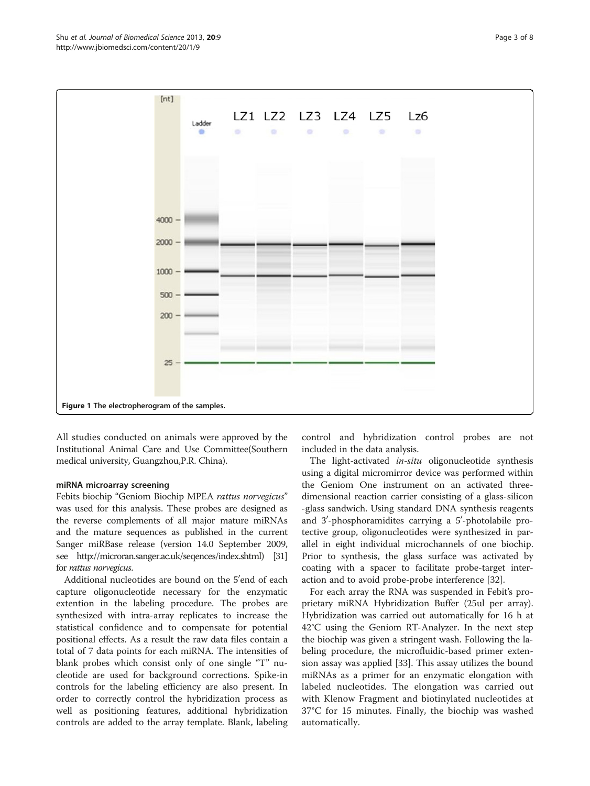<span id="page-2-0"></span>

All studies conducted on animals were approved by the Institutional Animal Care and Use Committee(Southern medical university, Guangzhou,P.R. China).

## miRNA microarray screening

Febits biochip "Geniom Biochip MPEA rattus norvegicus" was used for this analysis. These probes are designed as the reverse complements of all major mature miRNAs and the mature sequences as published in the current Sanger miRBase release (version 14.0 September 2009, see [http://microran.sanger.ac.uk/seqences/index.shtml\)](http://microran.sanger.ac.uk/seqences/index.shtml) [\[31](#page-6-0)] for rattus norvegicus.

Additional nucleotides are bound on the 5'end of each capture oligonucleotide necessary for the enzymatic extention in the labeling procedure. The probes are synthesized with intra-array replicates to increase the statistical confidence and to compensate for potential positional effects. As a result the raw data files contain a total of 7 data points for each miRNA. The intensities of blank probes which consist only of one single "T" nucleotide are used for background corrections. Spike-in controls for the labeling efficiency are also present. In order to correctly control the hybridization process as well as positioning features, additional hybridization controls are added to the array template. Blank, labeling

control and hybridization control probes are not included in the data analysis.

The light-activated in-situ oligonucleotide synthesis using a digital micromirror device was performed within the Geniom One instrument on an activated threedimensional reaction carrier consisting of a glass-silicon -glass sandwich. Using standard DNA synthesis reagents and 3'-phosphoramidites carrying a 5'-photolabile protective group, oligonucleotides were synthesized in parallel in eight individual microchannels of one biochip. Prior to synthesis, the glass surface was activated by coating with a spacer to facilitate probe-target interaction and to avoid probe-probe interference [[32\]](#page-6-0).

For each array the RNA was suspended in Febit's proprietary miRNA Hybridization Buffer (25ul per array). Hybridization was carried out automatically for 16 h at 42°C using the Geniom RT-Analyzer. In the next step the biochip was given a stringent wash. Following the labeling procedure, the microfluidic-based primer extension assay was applied [\[33\]](#page-6-0). This assay utilizes the bound miRNAs as a primer for an enzymatic elongation with labeled nucleotides. The elongation was carried out with Klenow Fragment and biotinylated nucleotides at 37°C for 15 minutes. Finally, the biochip was washed automatically.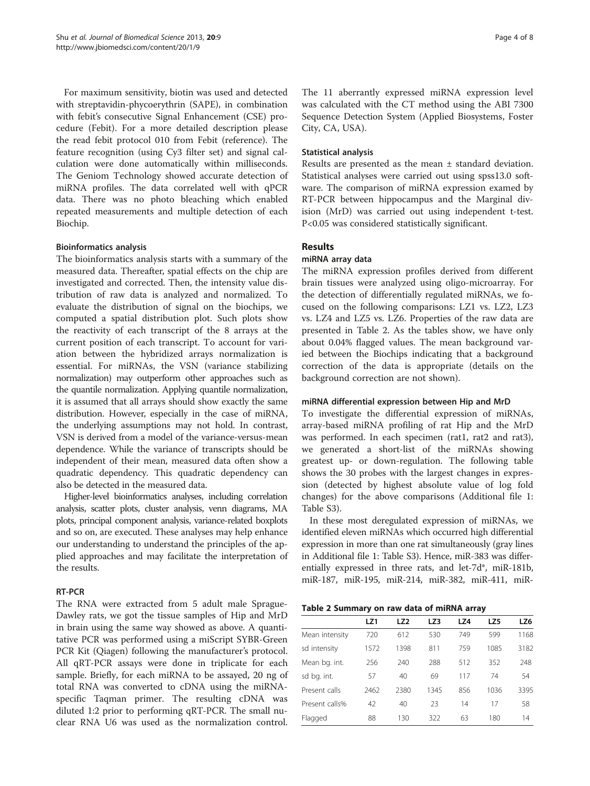For maximum sensitivity, biotin was used and detected with streptavidin-phycoerythrin (SAPE), in combination with febit's consecutive Signal Enhancement (CSE) procedure (Febit). For a more detailed description please the read febit protocol 010 from Febit (reference). The feature recognition (using Cy3 filter set) and signal calculation were done automatically within milliseconds. The Geniom Technology showed accurate detection of miRNA profiles. The data correlated well with qPCR data. There was no photo bleaching which enabled repeated measurements and multiple detection of each Biochip.

# Bioinformatics analysis

The bioinformatics analysis starts with a summary of the measured data. Thereafter, spatial effects on the chip are investigated and corrected. Then, the intensity value distribution of raw data is analyzed and normalized. To evaluate the distribution of signal on the biochips, we computed a spatial distribution plot. Such plots show the reactivity of each transcript of the 8 arrays at the current position of each transcript. To account for variation between the hybridized arrays normalization is essential. For miRNAs, the VSN (variance stabilizing normalization) may outperform other approaches such as the quantile normalization. Applying quantile normalization, it is assumed that all arrays should show exactly the same distribution. However, especially in the case of miRNA, the underlying assumptions may not hold. In contrast, VSN is derived from a model of the variance-versus-mean dependence. While the variance of transcripts should be independent of their mean, measured data often show a quadratic dependency. This quadratic dependency can also be detected in the measured data.

Higher-level bioinformatics analyses, including correlation analysis, scatter plots, cluster analysis, venn diagrams, MA plots, principal component analysis, variance-related boxplots and so on, are executed. These analyses may help enhance our understanding to understand the principles of the applied approaches and may facilitate the interpretation of the results.

# RT-PCR

The RNA were extracted from 5 adult male Sprague-Dawley rats, we got the tissue samples of Hip and MrD in brain using the same way showed as above. A quantitative PCR was performed using a miScript SYBR-Green PCR Kit (Qiagen) following the manufacturer's protocol. All qRT-PCR assays were done in triplicate for each sample. Briefly, for each miRNA to be assayed, 20 ng of total RNA was converted to cDNA using the miRNAspecific Taqman primer. The resulting cDNA was diluted 1:2 prior to performing qRT-PCR. The small nuclear RNA U6 was used as the normalization control.

The 11 aberrantly expressed miRNA expression level was calculated with the CT method using the ABI 7300 Sequence Detection System (Applied Biosystems, Foster City, CA, USA).

## Statistical analysis

Results are presented as the mean ± standard deviation. Statistical analyses were carried out using spss13.0 software. The comparison of miRNA expression examed by RT-PCR between hippocampus and the Marginal division (MrD) was carried out using independent t-test. P<0.05 was considered statistically significant.

# Results

# miRNA array data

The miRNA expression profiles derived from different brain tissues were analyzed using oligo-microarray. For the detection of differentially regulated miRNAs, we focused on the following comparisons: LZ1 vs. LZ2, LZ3 vs. LZ4 and LZ5 vs. LZ6. Properties of the raw data are presented in Table 2. As the tables show, we have only about 0.04% flagged values. The mean background varied between the Biochips indicating that a background correction of the data is appropriate (details on the background correction are not shown).

## miRNA differential expression between Hip and MrD

To investigate the differential expression of miRNAs, array-based miRNA profiling of rat Hip and the MrD was performed. In each specimen (rat1, rat2 and rat3), we generated a short-list of the miRNAs showing greatest up- or down-regulation. The following table shows the 30 probes with the largest changes in expression (detected by highest absolute value of log fold changes) for the above comparisons (Additional file [1](#page-5-0): Table S3).

In these most deregulated expression of miRNAs, we identified eleven miRNAs which occurred high differential expression in more than one rat simultaneously (gray lines in Additional file [1:](#page-5-0) Table S3). Hence, miR-383 was differentially expressed in three rats, and let-7d\*, miR-181b, miR-187, miR-195, miR-214, miR-382, miR-411, miR-

Table 2 Summary on raw data of miRNA array

|                | LZ1  | LZ <sub>2</sub> | LZ3  | LZ4 | LZ5  | LZ6  |
|----------------|------|-----------------|------|-----|------|------|
| Mean intensity | 720  | 612             | 530  | 749 | 599  | 1168 |
| sd intensity   | 1572 | 1398            | 811  | 759 | 1085 | 3182 |
| Mean bg. int.  | 256  | 240             | 288  | 512 | 352  | 248  |
| sd bg. int.    | 57   | 40              | 69   | 117 | 74   | 54   |
| Present calls  | 2462 | 2380            | 1345 | 856 | 1036 | 3395 |
| Present calls% | 42   | 40              | 23   | 14  | 17   | 58   |
| Flagged        | 88   | 130             | 322  | 63  | 180  | 14   |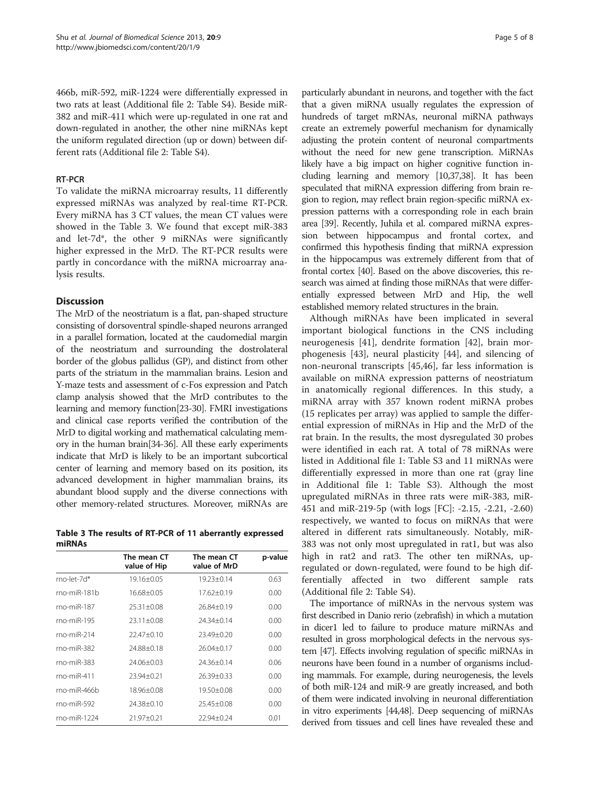466b, miR-592, miR-1224 were differentially expressed in two rats at least (Additional file [2](#page-5-0): Table S4). Beside miR-382 and miR-411 which were up-regulated in one rat and down-regulated in another, the other nine miRNAs kept the uniform regulated direction (up or down) between different rats (Additional file [2:](#page-5-0) Table S4).

# RT-PCR

To validate the miRNA microarray results, 11 differently expressed miRNAs was analyzed by real-time RT-PCR. Every miRNA has 3 CT values, the mean CT values were showed in the Table 3. We found that except miR-383 and let-7d\*, the other 9 miRNAs were significantly higher expressed in the MrD. The RT-PCR results were partly in concordance with the miRNA microarray analysis results.

# **Discussion**

The MrD of the neostriatum is a flat, pan-shaped structure consisting of dorsoventral spindle-shaped neurons arranged in a parallel formation, located at the caudomedial margin of the neostriatum and surrounding the dostrolateral border of the globus pallidus (GP), and distinct from other parts of the striatum in the mammalian brains. Lesion and Y-maze tests and assessment of c-Fos expression and Patch clamp analysis showed that the MrD contributes to the learning and memory function[\[23-30](#page-6-0)]. FMRI investigations and clinical case reports verified the contribution of the MrD to digital working and mathematical calculating memory in the human brain[[34-36\]](#page-6-0). All these early experiments indicate that MrD is likely to be an important subcortical center of learning and memory based on its position, its advanced development in higher mammalian brains, its abundant blood supply and the diverse connections with other memory-related structures. Moreover, miRNAs are

Table 3 The results of RT-PCR of 11 aberrantly expressed miRNAs

|                    | The mean CT<br>value of Hip | The mean CT<br>value of MrD | p-value |
|--------------------|-----------------------------|-----------------------------|---------|
| $rno$ -let-7 $d^*$ | 19.16±0.05                  | 19.23±0.14                  | 0.63    |
| $rno-miR-181b$     | $16.68 + 0.05$              | $17.62 + 0.19$              | 0.00    |
| $rno-miR-187$      | $25.31 + 0.08$              | $26.84 + 0.19$              | 0.00    |
| $rno-miR-195$      | $23.11 + 0.08$              | $24.34 + 0.14$              | 0.00    |
| $rno-miR-214$      | $22.47 + 0.10$              | $23.49 + 0.20$              | 0.00    |
| $rno-miR-382$      | 24.88+0.18                  | $26.04 + 0.17$              | 0.00    |
| $rno-miR-383$      | $24.06 + 0.03$              | $24.36 + 0.14$              | 0.06    |
| $rno-miR-411$      | $23.94 + 0.21$              | $26.39 + 0.33$              | 0.00    |
| $rno-miR-466b$     | 18.96±0.08                  | $19.50 + 0.08$              | 0.00    |
| $rno-miR-592$      | $74.38 + 0.10$              | $25.45 + 0.08$              | 0.00    |
| $rno-miR-1224$     | $21.97 + 0.21$              | $22.94 + 0.24$              | 0.01    |

particularly abundant in neurons, and together with the fact that a given miRNA usually regulates the expression of hundreds of target mRNAs, neuronal miRNA pathways create an extremely powerful mechanism for dynamically adjusting the protein content of neuronal compartments without the need for new gene transcription. MiRNAs likely have a big impact on higher cognitive function including learning and memory [\[10,37,38](#page-6-0)]. It has been speculated that miRNA expression differing from brain region to region, may reflect brain region-specific miRNA expression patterns with a corresponding role in each brain area [\[39\]](#page-6-0). Recently, Juhila et al. compared miRNA expression between hippocampus and frontal cortex, and confirmed this hypothesis finding that miRNA expression in the hippocampus was extremely different from that of frontal cortex [\[40\]](#page-6-0). Based on the above discoveries, this research was aimed at finding those miRNAs that were differentially expressed between MrD and Hip, the well established memory related structures in the brain.

Although miRNAs have been implicated in several important biological functions in the CNS including neurogenesis [[41](#page-6-0)], dendrite formation [[42](#page-6-0)], brain morphogenesis [\[43\]](#page-6-0), neural plasticity [\[44\]](#page-6-0), and silencing of non-neuronal transcripts [\[45,46\]](#page-6-0), far less information is available on miRNA expression patterns of neostriatum in anatomically regional differences. In this study, a miRNA array with 357 known rodent miRNA probes (15 replicates per array) was applied to sample the differential expression of miRNAs in Hip and the MrD of the rat brain. In the results, the most dysregulated 30 probes were identified in each rat. A total of 78 miRNAs were listed in Additional file [1:](#page-5-0) Table S3 and 11 miRNAs were differentially expressed in more than one rat (gray line in Additional file [1:](#page-5-0) Table S3). Although the most upregulated miRNAs in three rats were miR-383, miR-451 and miR-219-5p (with logs [FC]: -2.15, -2.21, -2.60) respectively, we wanted to focus on miRNAs that were altered in different rats simultaneously. Notably, miR-383 was not only most upregulated in rat1, but was also high in rat2 and rat3. The other ten miRNAs, upregulated or down-regulated, were found to be high differentially affected in two different sample rats (Additional file [2](#page-5-0): Table S4).

The importance of miRNAs in the nervous system was first described in Danio rerio (zebrafish) in which a mutation in dicer1 led to failure to produce mature miRNAs and resulted in gross morphological defects in the nervous system [\[47](#page-6-0)]. Effects involving regulation of specific miRNAs in neurons have been found in a number of organisms including mammals. For example, during neurogenesis, the levels of both miR-124 and miR-9 are greatly increased, and both of them were indicated involving in neuronal differentiation in vitro experiments [\[44,48\]](#page-6-0). Deep sequencing of miRNAs derived from tissues and cell lines have revealed these and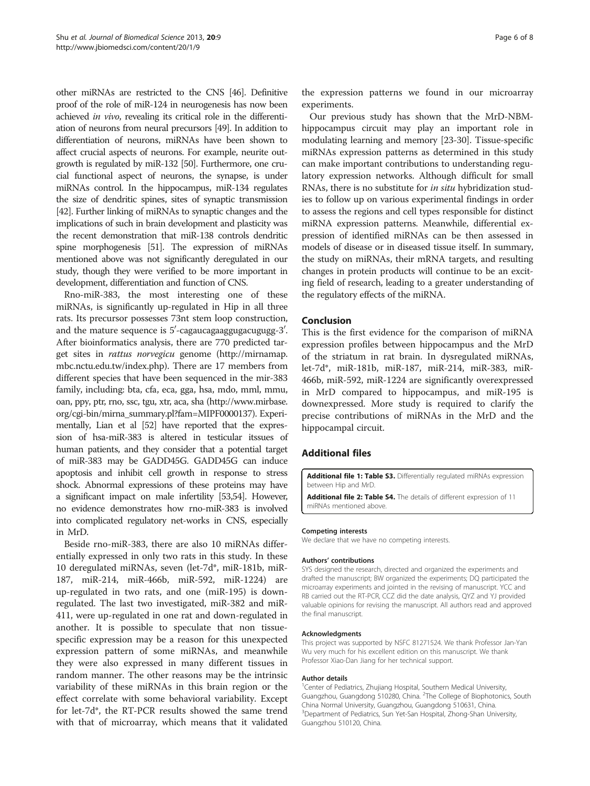<span id="page-5-0"></span>other miRNAs are restricted to the CNS [\[46](#page-6-0)]. Definitive proof of the role of miR-124 in neurogenesis has now been achieved in vivo, revealing its critical role in the differentiation of neurons from neural precursors [[49\]](#page-6-0). In addition to differentiation of neurons, miRNAs have been shown to affect crucial aspects of neurons. For example, neurite outgrowth is regulated by miR-132 [[50\]](#page-6-0). Furthermore, one crucial functional aspect of neurons, the synapse, is under miRNAs control. In the hippocampus, miR-134 regulates the size of dendritic spines, sites of synaptic transmission [[42\]](#page-6-0). Further linking of miRNAs to synaptic changes and the implications of such in brain development and plasticity was the recent demonstration that miR-138 controls dendritic spine morphogenesis [\[51](#page-6-0)]. The expression of miRNAs mentioned above was not significantly deregulated in our study, though they were verified to be more important in development, differentiation and function of CNS.

Rno-miR-383, the most interesting one of these miRNAs, is significantly up-regulated in Hip in all three rats. Its precursor possesses 73nt stem loop construction, and the mature sequence is  $5^{\prime}$ -cagaucagaaggugacugugg- $3^{\prime}$ . After bioinformatics analysis, there are 770 predicted target sites in rattus norvegicu genome ([http://mirnamap.](http://mirnamap.mbc.nctu.edu.tw/index.php) [mbc.nctu.edu.tw/index.php\)](http://mirnamap.mbc.nctu.edu.tw/index.php). There are 17 members from different species that have been sequenced in the mir-383 family, including: bta, cfa, eca, gga, hsa, mdo, mml, mmu, oan, ppy, ptr, rno, ssc, tgu, xtr, aca, sha [\(http://www.mirbase.](http://www.mirbase.org/cgi-bin/mirna_summary.pl?fam=MIPF0000137) [org/cgi-bin/mirna\\_summary.pl?fam=MIPF0000137\)](http://www.mirbase.org/cgi-bin/mirna_summary.pl?fam=MIPF0000137). Experimentally, Lian et al [\[52](#page-7-0)] have reported that the expression of hsa-miR-383 is altered in testicular itssues of human patients, and they consider that a potential target of miR-383 may be GADD45G. GADD45G can induce apoptosis and inhibit cell growth in response to stress shock. Abnormal expressions of these proteins may have a significant impact on male infertility [[53,54](#page-7-0)]. However, no evidence demonstrates how rno-miR-383 is involved into complicated regulatory net-works in CNS, especially in MrD.

Beside rno-miR-383, there are also 10 miRNAs differentially expressed in only two rats in this study. In these 10 deregulated miRNAs, seven (let-7d\*, miR-181b, miR-187, miR-214, miR-466b, miR-592, miR-1224) are up-regulated in two rats, and one (miR-195) is downregulated. The last two investigated, miR-382 and miR-411, were up-regulated in one rat and down-regulated in another. It is possible to speculate that non tissuespecific expression may be a reason for this unexpected expression pattern of some miRNAs, and meanwhile they were also expressed in many different tissues in random manner. The other reasons may be the intrinsic variability of these miRNAs in this brain region or the effect correlate with some behavioral variability. Except for let-7d\*, the RT-PCR results showed the same trend with that of microarray, which means that it validated

the expression patterns we found in our microarray experiments.

Our previous study has shown that the MrD-NBMhippocampus circuit may play an important role in modulating learning and memory [\[23-30\]](#page-6-0). Tissue-specific miRNAs expression patterns as determined in this study can make important contributions to understanding regulatory expression networks. Although difficult for small RNAs, there is no substitute for in situ hybridization studies to follow up on various experimental findings in order to assess the regions and cell types responsible for distinct miRNA expression patterns. Meanwhile, differential expression of identified miRNAs can be then assessed in models of disease or in diseased tissue itself. In summary, the study on miRNAs, their mRNA targets, and resulting changes in protein products will continue to be an exciting field of research, leading to a greater understanding of the regulatory effects of the miRNA.

# Conclusion

This is the first evidence for the comparison of miRNA expression profiles between hippocampus and the MrD of the striatum in rat brain. In dysregulated miRNAs, let-7d\*, miR-181b, miR-187, miR-214, miR-383, miR-466b, miR-592, miR-1224 are significantly overexpressed in MrD compared to hippocampus, and miR-195 is downexpressed. More study is required to clarify the precise contributions of miRNAs in the MrD and the hippocampal circuit.

## Additional files

[Additional file 1: Table S3.](http://www.biomedcentral.com/content/supplementary/1423-0127-20-9-S1.doc) Differentially regulated miRNAs expression between Hip and MrD.

[Additional file 2: Table S4.](http://www.biomedcentral.com/content/supplementary/1423-0127-20-9-S2.doc) The details of different expression of 11 miRNAs mentioned above.

#### Competing interests

We declare that we have no competing interests.

#### Authors' contributions

SYS designed the research, directed and organized the experiments and drafted the manuscript; BW organized the experiments; DQ participated the microarray experiments and jointed in the revising of manuscript. YCC and RB carried out the RT-PCR, CCZ did the date analysis, QYZ and YJ provided valuable opinions for revising the manuscript. All authors read and approved the final manuscript.

## Acknowledgments

This project was supported by NSFC 81271524. We thank Professor Jan-Yan Wu very much for his excellent edition on this manuscript. We thank Professor Xiao-Dan Jiang for her technical support.

### Author details

<sup>1</sup> Center of Pediatrics, Zhujiang Hospital, Southern Medical University, Guangzhou, Guangdong 510280, China. <sup>2</sup>The College of Biophotonics, South China Normal University, Guangzhou, Guangdong 510631, China. <sup>3</sup>Department of Pediatrics, Sun Yet-San Hospital, Zhong-Shan University, Guangzhou 510120, China.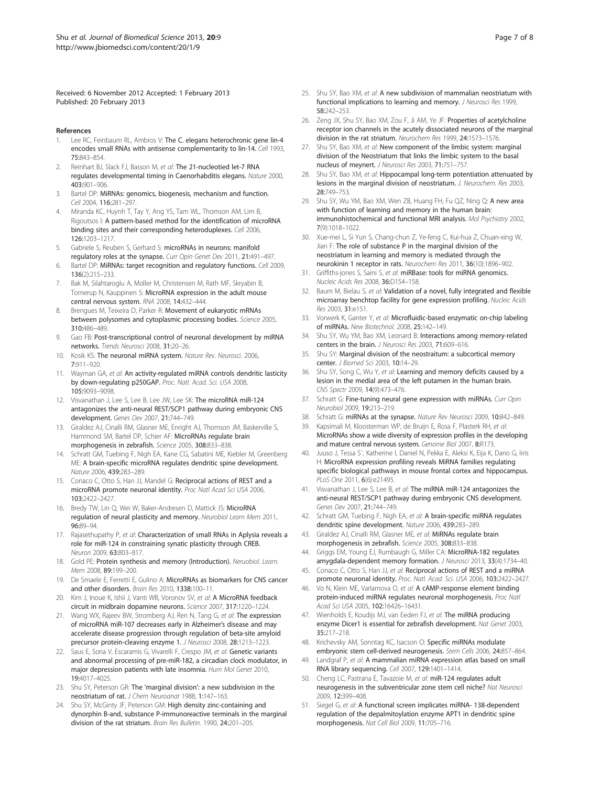<span id="page-6-0"></span>Received: 6 November 2012 Accepted: 1 February 2013 Published: 20 February 2013

### References

- 1. Lee RC, Feinbaum RL, Ambros V: The C. elegans heterochronic gene lin-4 encodes small RNAs with antisense complementarity to lin-14. Cell 1993, 75:843–854.
- Reinhart BJ, Slack FJ, Basson M, et al: The 21-nucleotied let-7 RNA regulates developmental timing in Caenorhabditis elegans. Nature 2000, 403:901–906.
- 3. Bartel DP: MiRNAs: genomics, biogenesis, mechanism and function. Cell 2004, 116:281-297.
- 4. Miranda KC, Huynh T, Tay Y, Ang YS, Tam WL, Thomson AM, Lim B, Rigoutsos I: A pattern-based method for the identification of microRNA binding sites and their corresponding heteroduplexes. Cell 2006, 126:1203–1217.
- 5. Gabriele S, Reuben S, Gerhard S: microRNAs in neurons: manifold regulatory roles at the synapse. Curr Opin Genet Dev 2011, 21:491-497.
- 6. Bartel DP: MiRNAs: target recognition and regulatory functions. Cell 2009, 136(2):215–233.
- 7. Bak M, Silahtaroglu A, Moller M, Christensen M, Rath MF, Skryabin B, Tomerup N, Kauppinen S: MicroRNA expression in the adult mouse central nervous system. RNA 2008, 14:432–444.
- 8. Brengues M, Teixeira D, Parker R: Movement of eukaryotic mRNAs between polysomes and cytoplasmic processing bodies. Science 2005, 310:486–489.
- 9. Gao FB: Post-transcriptional control of neuronal development by miRNA networks. Trends Neurosci 2008, 31:20–26.
- 10. Kosik KS: The neuronal miRNA system. Nature Rev. Neurosci. 2006, 7:911–920.
- 11. Wayman GA, et al: An activity-regulated miRNA controls dendritic lasticity by down-regulating p250GAP. Proc. Natl. Acad. Sci. USA 2008, 105:9093–9098.
- 12. Visvanathan J, Lee S, Lee B, Lee JW, Lee SK: The microRNA miR-124 antagonizes the anti-neural REST/SCP1 pathway during embryonic CNS development. Genes Dev 2007, 21:744–749.
- 13. Giraldez AJ, Cinalli RM, Glasner ME, Enright AJ, Thomson JM, Baskerville S, Hammond SM, Bartel DP, Schier AF: MicroRNAs regulate brain morphogenesis in zebrafish. Science 2005, 308:833–838.
- 14. Schratt GM, Tuebing F, Nigh EA, Kane CG, Sabatini ME, Kiebler M, Greenberg ME: A brain-specific microRNA regulates dendritic spine development. Nature 2006, 439:283–289.
- 15. Conaco C, Otto S, Han JJ, Mandel G: Reciprocal actions of REST and a microRNA promote neuronal identity. Proc Natl Acad Sci USA 2006, 103:2422–2427.
- 16. Bredy TW, Lin Q, Wei W, Baker-Andresen D, Mattick JS: MicroRNA regulation of neural plasticity and memory. Neurobiol Learn Mem 2011, 96:89–94.
- 17. Rajasethupathy P, et al: Characterization of small RNAs in Aplysia reveals a role for miR-124 in constraining synatic plasticity through CREB. Neuron 2009, 63:803–817.
- 18. Gold PE: Protein synthesis and memory (Introduction). Neruobiol. Learn. Mem 2008, 89:199–200.
- 19. De Smaele E, Ferretti E, Gulino A: MicroRNAs as biomarkers for CNS cancer and other disorders. Brain Res 2010, 1338:100–11.
- 20. Kim J, Inoue K, Ishii J, Vanti WB, Voronov SV, et al: A MicroRNA feedback circuit in midbrain dopamine neurons. Science 2007, 317:1220–1224.
- 21. Wang WX, Rajeev BW, Stromberg AJ, Ren N, Tang G, et al: The expression of microRNA miR-107 decreases early in Alzheimer's disease and may accelerate disease progression through regulation of beta-site amyloid precursor protein-cleaving enzyme 1. J Neurosci 2008, 28:1213–1223.
- 22. Saus E, Soria V, Escaramis G, Vivarelli F, Crespo JM, et al: Genetic variants and abnormal processing of pre-miR-182, a circadian clock modulator, in major depression patients with late insomnia. Hum Mol Genet 2010, 19:4017–4025.
- 23. Shu SY, Peterson GR: The 'marginal division': a new subdivision in the neostriatum of rat. J Chem Neuroanat 1988, 1:147–163.
- 24. Shu SY, McGinty JF, Peterson GM: High density zinc-containing and dynorphin B-and, substance P-immunoreactive terminals in the marginal division of the rat striatum. Brain Res Bulletin. 1990, 24:201–205.
- 25. Shu SY, Bao XM, et al: A new subdivision of mammalian neostriatum with functional implications to learning and memory. J Neurosci Res 1999, 58:242–253.
- 26. Zeng JX, Shu SY, Bao XM, Zou F, Ji AM, Ye JF: Properties of acetylcholine receptor ion channels in the acutely dissociated neurons of the marginal division in the rat striatum. Neurochem Res 1999, 24:1573–1576.
- 27. Shu SY, Bao XM, et al: New component of the limbic system: marginal division of the Neostriatum that links the limbic system to the basal nucleus of meynert. J Neurosci Res 2003, 71:751–757.
- 28. Shu SY, Bao XM, et al: Hippocampal long-term potentiation attenuated by lesions in the marginal division of neostriatum. J. Neurochem. Res 2003, 28:749–753.
- 29. Shu SY, Wu YM, Bao XM, Wen ZB, Huang FH, Fu QZ, Ning Q: A new area with function of learning and memory in the human brain: immunohistochemical and functional MRI analysis. Mol Psychiatry 2002, 7(9):1018–1022.
- 30. Xue-mei L, Si Yun S, Chang-chun Z, Ye-feng C, Kui-hua Z, Chuan-xing W, Jian F: The role of substance P in the marginal division of the neostriatum in learning and memory is mediated through the neurokinin 1 receptor in rats. Neurochem Res 2011, 36(10):1896–902.
- 31. Griffiths-jones S, Saini S, et al: miRBase: tools for miRNA genomics. Nucleic Acids Res 2008, 36:D154–158.
- 32. Baum M, Bielau S, et al: Validation of a novel, fully integrated and flexible microarray benchtop facility for gene expression profiling. Nucleic Acids Res 2003, 31:e151.
- 33. Vorwerk K, Ganter Y, et al: Microfluidic-based enzymatic on-chip labeling of miRNAs. New Biotechnol. 2008, 25:142–149.
- 34. Shu SY, Wu YM, Bao XM, Leonard B: Interactions among memory-related centers in the brain. J Neurosci Res 2003, 71:609-616.
- 35. Shu SY: Marginal division of the neostraitum: a subcortical memory center. J Biomed Sci 2003, 10:14–29.
- 36. Shu SY, Song C, Wu Y, et al: Learning and memory deficits caused by a lesion in the medial area of the left putamen in the human brain. CNS Spectr 2009, 14(9):473–476.
- 37. Schratt G: Fine-tuning neural gene expression with miRNAs. Curr Opin Neurobiol 2009, 19:213–219.
- 38. Schratt G: miRNAs at the synapse. Nature Rev Neurosci 2009, 10:842–849.
- 39. Kapsimali M, Kloosterman WP, de Bruijn E, Rosa F, Plasterk RH, et al: MicroRNAs show a wide diversity of expression profiles in the developing and mature central nervous system. Genome Biol 2007, 8:R173.
- 40. Juuso J, Tessa S¨, Katherine I, Daniel N, Pekka E, Aleksi K, Eija K, Dario G, Iiris H: MicroRNA expression profiling reveals MiRNA families regulating specific biological pathways in mouse frontal cortex and hippocampus. PLoS One 2011, 6(6):e21495.
- 41. Visvanathan J, Lee S, Lee B, et al: The miRNA miR-124 antagonizes the anti-neural REST/SCP1 pathway during embryonic CNS development. Genes Dev 2007, 21:744–749.
- 42. Schratt GM, Tuebing F, Nigh EA, et al: A brain-specific miRNA regulates dendritic spine development. Nature 2006, 439:283–289.
- 43. Giraldez AJ, Cinalli RM, Glasner ME, et al: MiRNAs regulate brain morphogenesis in zebrafish. Science 2005, 308:833–838.
- 44. Griggs EM, Young EJ, Rumbaugh G, Miller CA: MicroRNA-182 regulates amygdala-dependent memory formation. J Neurosci 2013, 33(4):1734–40.
- 45. Conaco C, Otto S, Han JJ, et al: Reciprocal actions of REST and a miRNA promote neuronal identity. Proc. Natl. Acad. Sci. USA 2006, 103:2422–2427.
- 46. Vo N, Klein ME, Varlamova O, et al: A cAMP-response element binding protein-induced miRNA regulates neuronal morphogenesis. Proc Natl Acad Sci USA 2005, 102:16426-16431.
- 47. Wienholds E, Koudijs MJ, van Eeden FJ, et al: The miRNA producing enzyme Dicer1 is essential for zebrafish development. Nat Genet 2003, 35:217–218.
- 48. Krichevsky AM, Sonntag KC, Isacson O: Specific miRNAs modulate embryonic stem cell-derived neurogenesis. Stem Cells 2006, 24:857–864.
- 49. Landgraf P, et al: A mammalian miRNA expression atlas based on small RNA library sequencing. Cell 2007, 129:1401–1414.
- 50. Cheng LC, Pastrana E, Tavazoie M, et al: miR-124 regulates adult neurogenesis in the subventricular zone stem cell niche? Nat Neurosci 2009, 12:399–408.
- 51. Siegel G, et al: A functional screen implicates miRNA- 138-dependent regulation of the depalmitoylation enzyme APT1 in dendritic spine morphogenesis. Nat Cell Biol 2009, 11:705–716.